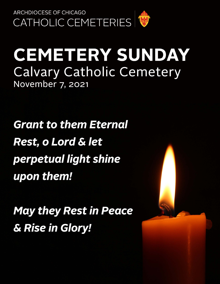

## **CEMETERY SUNDAY Calvary Catholic Cemetery** November 7, 2021

**Grant to them Eternal Rest, o Lord & let** perpetual light shine upon them!

**May they Rest in Peace** & Rise in Glory!

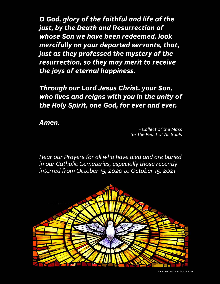O God, glory of the faithful and life of the just, by the Death and Resurrection of whose Son we have been redeemed, look mercifully on your departed servants, that, just as they professed the mystery of the resurrection, so they may merit to receive the joys of eternal happiness.

Through our Lord Jesus Christ, your Son, who lives and reigns with you in the unity of the Holy Spirit, one God, for ever and ever.

Amen.

- Collect of the Mass for the Feast of All Souls

Hear our Prayers for all who have died and are buried in our Catholic Cemeteries, especially those recently interred from October 15, 2020 to October 15, 2021.

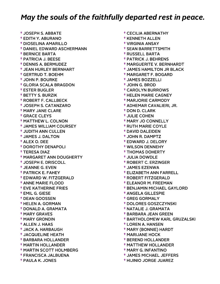## *May the souls of the faithfully departed rest in peace.*

† JOSEPH S. ABBATE † EDITH Y. ABURANO † DIOSELINA AMARILLO † DANIEL EDWARD ASCHERMANN † BERNICE BARTA † PATRICIA J. BEESE † DENNIS A. BERMUDEZ † JEAN HURLEY BERNHART † GERTRUD T. BOEHM † JOHN P. BOURKE † GLORIA SCALA BRAGDON † ESTER BUGLER † BETTY S. BURZIK † ROBERT F. CALLBECK † JOSEPH S. CATANZARO † MARY JANE CLARE † GRACE CLEYS † MATTHEW L. COLNON † JAMES WILLIAM COURSEY † JUDITH ANN CULLEN † JAMES J. DALTON † ALEX O. DEE † DOROTHY DENAPOLI † TERESA DIAZ † MARGARET ANN DOUGHERTY † JOSEPH E. DRISCOLL † JEANNE G. EVEN † PATRICK E. FAHEY † EDWARD W. FITZGERALD † ANNE MARIE FLOOD † EVE KATHERINE FRIES † EMIL G. GIESE † DEAN GOOSSEN † HELEN A. GORMAN † DONALD A. GRAMATA † MARY GRAVES † MARY GRONDIN † ALLEN J. HAAS † JACK A. HARBAUGH † JACQUELINE HEATH † BARBARA HOLLANDER † MARTIN HOLLANDER † MARTIN SCOTT HOLMBERG † FRANCISCA JALBUENA † PAULA K. JONES

 † CECILIA ABERNATHY † KENNETH ALLEN † VIRGINIA ANSAY † SEAN BARRETTSMITH † RUSSELL BARTA † PATRICK J. BEHRENS † MARGUERITE V. BERNHARDT † JAMES HAMILTON JR BLACK † MARGARET F. BOGARD † JAMES BOZZELLI † JOHN G. BROD † CAROLYN BURROWS † HELEN MARIE CAGNEY † MARJORIE CARMODY † ADHEMAR CAVALIERI, JR. † DON D. CLARK † JULIE COHEN † MARY JO CONNELLY † RUTH MARIE COYLE † DAVID DALEIDEN † JOHN R. DAMPTZ † EDWARD J. DELORY † WILSON DENNEHY † THOMAS DOHERTY † JULIA DOWDLE † ROBERT C. ERZINGER † JAMES EZENWA † ELIZABETH ANN FARRELL † ROBERT FITZGERALD † ELEANOR M. FREEMAN † BENJAMIN MICHAEL GAYLORD † ANGELA GILLESPIE † GREG GORMALY † DOLORES GOSZCZYNSKI † NATALIE J. GRAMATA † BARBARA JEAN GREEN † BARTHOLOMEW KARL GRUZALSKI † LOREN A. HANSEN † MARY (BONNIE) HARDT † MARIJANE HOCK † BEREND HOLLANDER † MATTHEW HOLLANDER † MARY G. INFANTINO † JAMES MICHAEL JEFFERS

† HIJINIO JORGE JUAREZ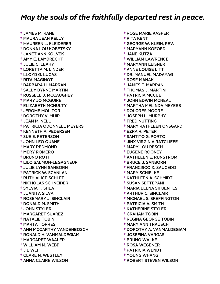## *May the souls of the faithfully departed rest in peace.*

† JAMES M. KANE † MAURA JEAN KELLY † MAUREEN L. KLEIDERER † DONNA LOU KOBETSKY † JANET ANN KOLVEK † AMY E. LAMBRECHT † JULIE C. LEAHY † LORETTA M. LINDER † LLOYD G. LUCAS † RITA MAGINOT † BARBARA H. MARRAN † SALLY BYRNE MARTIN † RUSSELL J. MCCAUGHEY † MARY JO MCGUIRE † ELIZABETH MCNULTY † JEROME MOLITOR † DOROTHY V. MUIR † JEAN M. NELL † PATRICIA ODONNELL MEYERS † KENNETH A. PEDERSEN † SUE E. PETERSON † JOHN LEO QUANE † MARY REDMOND † MERY ROMERO † BRUNO ROTI † LILO SALMON-LEGAGNEUR † JULIE LYNN SANBORN † PATRICK W. SCANLAN † RUTH ALICE SCHLEE † NICHOLAS SCHNEIDER † SYLVIA T. SHEA † JUANITA SILVA † ROSEMARY J. SINCLAIR † DONALD M. SMITH † JOHN STYLER † MARGARET SUAREZ † NATALIE TOBIN † MARTA TORRES † ANN MCCARTHY VANDENBOSCH † RONALD H. VANMALDEGIAM † MARGARET WAALER † WILLIAM M. WEBB † JIE WEI † CLARE N. WESTLEY † ANNA CLAIRE WILSON

 † ROSE MARIE KASPER † RITA KENT † GEORGE W. KLEIN, REV. † MARYANN KOFOED † JANE KUTZA † WILLIAM LAWRENCE † MARYANN LEISNER † ANNE LOUISE LITT † DR. MANUEL MADAYAG † ROSE MANAK † JAMES F. MARRAN † THOMAS J. MARTINI † PATRICIA MCCUE † JOHN EDWIN MCNEAL † MARTHA MELINDA MEYERS † DOLORES MOORE † JOSEPH L. MURPHY † FRED NUTTING † MARY KATHLEEN ONSGARD † EZRA R. PETER † SANTITO G. PORTO † JINX VIRGINIA RATCLIFFE † MARY LOU RESCH † EUGENE ROONEY † KATHLEEN E. RUNSTROM † BRUCE J. SANBORN † FRANCISCO X. SAUCEDO † MARY SCHIELKE † KATHLEEN A. SCHMIDT † SUSAN SETTEPANI † MARIA ELENA SIFUENTES † ARTHUR C. SINCLAIR † MICHAEL S. SKEFFINGTON † PATRICIA A. SMITH † KATHERINE STYLER † GRAHAM TOBIN † REGINA GEORGE TOBIN † MARY ANN TRAUSCHT † DOROTHY A. VANMALDEGIAM † JOSEFINA VARGAS † BRUNO WALKE † ROSA WEGENER † PATRICIA WENDT † YOUNG WHANG

† ROBERT STEVEN WILSON